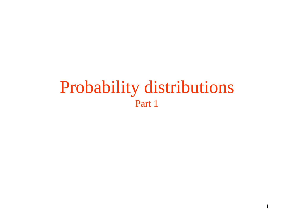# Probability distributions Part 1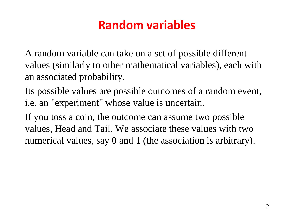### **Random variables**

A random variable can take on a set of possible different values (similarly to other mathematical variables), each with an associated probability.

Its possible values are possible outcomes of a random event, i.e. an "experiment" whose value is uncertain.

If you toss a coin, the outcome can assume two possible values, Head and Tail. We associate these values with two numerical values, say 0 and 1 (the association is arbitrary).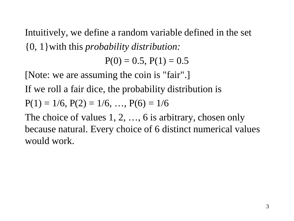Intuitively, we define a random variable defined in the set {0, 1}with this *probability distribution:*

 $P(0) = 0.5$ ,  $P(1) = 0.5$ 

[Note: we are assuming the coin is "fair".]

If we roll a fair dice, the probability distribution is

$$
P(1) = 1/6, P(2) = 1/6, ..., P(6) = 1/6
$$

The choice of values 1, 2, ..., 6 is arbitrary, chosen only because natural. Every choice of 6 distinct numerical values would work.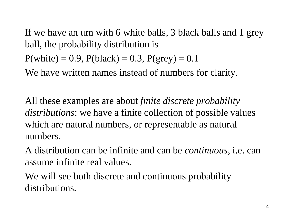If we have an urn with 6 white balls, 3 black balls and 1 grey ball, the probability distribution is

 $P(\text{white}) = 0.9$ ,  $P(\text{black}) = 0.3$ ,  $P(\text{grey}) = 0.1$ 

We have written names instead of numbers for clarity.

All these examples are about *finite discrete probability distributions*: we have a finite collection of possible values which are natural numbers, or representable as natural numbers.

A distribution can be infinite and can be *continuous*, i.e. can assume infinite real values.

We will see both discrete and continuous probability distributions.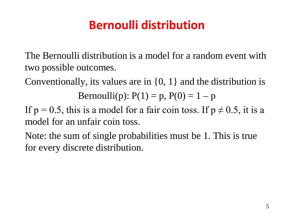## **Bernoulli distribution**

The Bernoulli distribution is a model for a random event with two possible outcomes.

Conventionally, its values are in  $\{0, 1\}$  and the distribution is

Bernoulli(p):  $P(1) = p$ ,  $P(0) = 1 - p$ 

If  $p = 0.5$ , this is a model for a fair coin toss. If  $p \neq 0.5$ , it is a model for an unfair coin toss.

Note: the sum of single probabilities must be 1. This is true for every discrete distribution.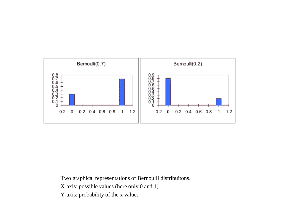

Two graphical representations of Bernoulli distribuitons.

X-axis: possible values (here only 0 and 1).

Y-axis: probability of the x value.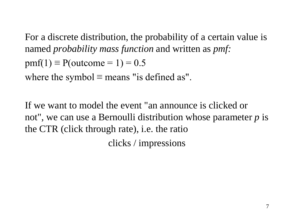For a discrete distribution, the probability of a certain value is named *probability mass function* and written as *pmf:*  $pmf(1) \equiv P(outcome = 1) = 0.5$ where the symbol  $\equiv$  means "is defined as".

If we want to model the event "an announce is clicked or not", we can use a Bernoulli distribution whose parameter *p* is the CTR (click through rate), i.e. the ratio clicks / impressions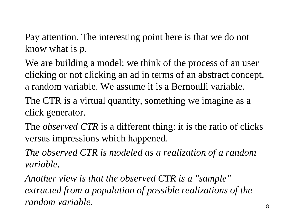Pay attention. The interesting point here is that we do not know what is *p*.

We are building a model: we think of the process of an user clicking or not clicking an ad in terms of an abstract concept, a random variable. We assume it is a Bernoulli variable.

The CTR is a virtual quantity, something we imagine as a click generator.

The *observed CTR* is a different thing: it is the ratio of clicks versus impressions which happened.

*The observed CTR is modeled as a realization of a random variable.*

*Another view is that the observed CTR is a "sample" extracted from a population of possible realizations of the random variable.*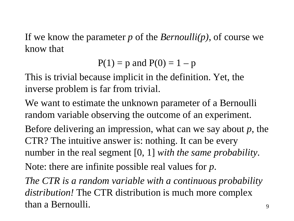If we know the parameter *p* of the *Bernoulli(p)*, of course we know that

 $P(1) = p$  and  $P(0) = 1 - p$ 

This is trivial because implicit in the definition. Yet, the inverse problem is far from trivial.

We want to estimate the unknown parameter of a Bernoulli random variable observing the outcome of an experiment.

Before delivering an impression, what can we say about *p*, the CTR? The intuitive answer is: nothing. It can be every number in the real segment [0, 1] *with the same probability*.

Note: there are infinite possible real values for *p*.

*The CTR is a random variable with a continuous probability distribution!* The CTR distribution is much more complex than a Bernoulli.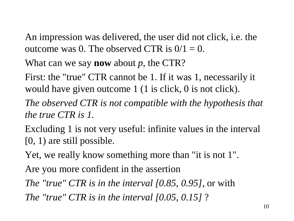An impression was delivered, the user did not click, i.e. the outcome was 0. The observed CTR is  $0/1 = 0$ .

What can we say **now** about *p*, the CTR?

First: the "true" CTR cannot be 1. If it was 1, necessarily it would have given outcome 1 (1 is click, 0 is not click).

*The observed CTR is not compatible with the hypothesis that the true CTR is 1.*

Excluding 1 is not very useful: infinite values in the interval [0, 1) are still possible.

Yet, we really know something more than "it is not 1".

Are you more confident in the assertion

*The "true" CTR is in the interval [0.85, 0.95]*, or with

*The "true" CTR is in the interval [0.05, 0.15]* ?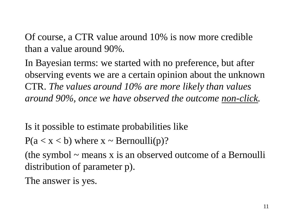Of course, a CTR value around 10% is now more credible than a value around 90%.

In Bayesian terms: we started with no preference, but after observing events we are a certain opinion about the unknown CTR. *The values around 10% are more likely than values around 90%, once we have observed the outcome non-click.*

Is it possible to estimate probabilities like

 $P(a < x < b)$  where  $x \sim \text{Bernoulli}(p)$ ?

(the symbol  $\sim$  means x is an observed outcome of a Bernoulli distribution of parameter p).

The answer is yes.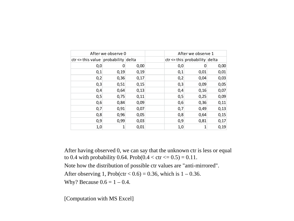| After we observe 0                      | After we observe 1 |      |     |                                   |      |
|-----------------------------------------|--------------------|------|-----|-----------------------------------|------|
| $ctr \leq$ this value probability delta |                    |      |     | $ctr \leq this$ probability delta |      |
| 0,0                                     |                    | 0,00 | 0,0 |                                   | 0,00 |
| 0,1                                     | 0,19               | 0,19 | 0,1 | 0,01                              | 0,01 |
| 0,2                                     | 0,36               | 0,17 | 0,2 | 0,04                              | 0,03 |
| 0,3                                     | 0,51               | 0,15 | 0,3 | 0,09                              | 0,05 |
| 0,4                                     | 0,64               | 0,13 | 0,4 | 0,16                              | 0,07 |
| 0,5                                     | 0,75               | 0,11 | 0,5 | 0,25                              | 0,09 |
| 0,6                                     | 0,84               | 0,09 | 0,6 | 0,36                              | 0,11 |
| 0,7                                     | 0,91               | 0,07 | 0,7 | 0,49                              | 0,13 |
| 0,8                                     | 0,96               | 0,05 | 0,8 | 0,64                              | 0,15 |
| 0,9                                     | 0,99               | 0,03 | 0,9 | 0,81                              | 0,17 |
| 1,0                                     | 1                  | 0,01 | 1,0 | 1                                 | 0,19 |

After having observed 0, we can say that the unknown ctr is less or equal to 0.4 with probability 0.64. Prob( $0.4 <$  ctr  $\le 0.5 = 0.11$ . Note how the distribution of possible ctr values are "anti-mirrored". After observing 1, Prob(ctr <  $0.6$ ) = 0.36, which is 1 – 0.36. Why? Because  $0.6 = 1 - 0.4$ .

[Computation with MS Excel]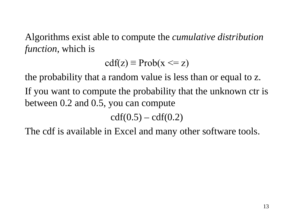Algorithms exist able to compute the *cumulative distribution function*, which is

$$
cdf(z) \equiv Prob(x \leq z)
$$

the probability that a random value is less than or equal to z. If you want to compute the probability that the unknown ctr is between 0.2 and 0.5, you can compute

 $cdf(0.5) - cdf(0.2)$ 

The cdf is available in Excel and many other software tools.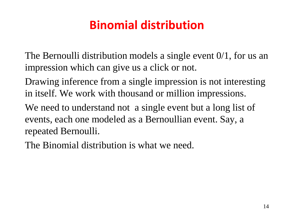## **Binomial distribution**

The Bernoulli distribution models a single event 0/1, for us an impression which can give us a click or not.

Drawing inference from a single impression is not interesting in itself. We work with thousand or million impressions.

We need to understand not a single event but a long list of events, each one modeled as a Bernoullian event. Say, a repeated Bernoulli.

The Binomial distribution is what we need.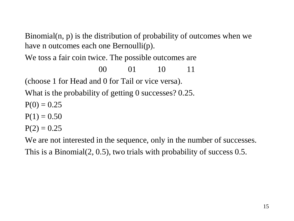Binomial(n, p) is the distribution of probability of outcomes when we have n outcomes each one Bernoulli(p).

We toss a fair coin twice. The possible outcomes are

00 01 10 11 (choose 1 for Head and 0 for Tail or vice versa). What is the probability of getting 0 successes? 0.25.  $P(0) = 0.25$ 

$$
P(1)=0.50
$$

$$
P(2)=0.25
$$

We are not interested in the sequence, only in the number of successes. This is a Binomial(2, 0.5), two trials with probability of success 0.5.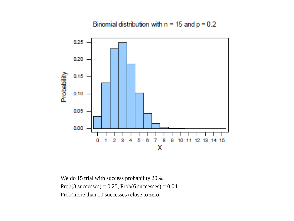Binomial distribution with  $n = 15$  and  $p = 0.2$ 



We do 15 trial with success probability 20%. Prob(3 successes) =  $0.25$ , Prob(6 successes) =  $0.04$ . Prob(more than 10 successes) close to zero.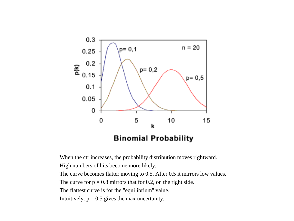

When the ctr increases, the probability distribution moves rightward.

High numbers of hits become more likely.

The curve becomes flatter moving to 0.5. After 0.5 it mirrors low values.

The curve for  $p = 0.8$  mirrors that for 0.2, on the right side.

The flattest curve is for the "equilibrium" value.

Intuitively:  $p = 0.5$  gives the max uncertainty.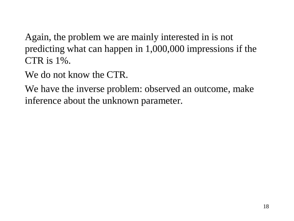Again, the problem we are mainly interested in is not predicting what can happen in 1,000,000 impressions if the CTR is 1%.

We do not know the CTR.

We have the inverse problem: observed an outcome, make inference about the unknown parameter.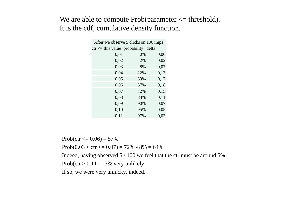#### We are able to compute  $Prob(parameter \leq threshold)$ . It is the cdf, cumulative density function.

| After we observe 5 clicks on 100 imps  |     |      |  |  |  |  |
|----------------------------------------|-----|------|--|--|--|--|
| $ctr \le$ this value probability delta |     |      |  |  |  |  |
| 0,01                                   | 0%  | 0,00 |  |  |  |  |
| 0,02                                   | 2%  | 0,02 |  |  |  |  |
| 0,03                                   | 8%  | 0,07 |  |  |  |  |
| 0,04                                   | 22% | 0,13 |  |  |  |  |
| 0,05                                   | 39% | 0,17 |  |  |  |  |
| 0,06                                   | 57% | 0,18 |  |  |  |  |
| 0,07                                   | 72% | 0,15 |  |  |  |  |
| 0,08                                   | 83% | 0,11 |  |  |  |  |
| 0,09                                   | 90% | 0,07 |  |  |  |  |
| 0,10                                   | 95% | 0,05 |  |  |  |  |
| 0,11                                   | 97% | 0,03 |  |  |  |  |

Prob(ctr  $\leq$  0.06) = 57% Prob(0.03 < ctr <=  $0.07$ ) =  $72\%$  -  $8\%$  =  $64\%$ Indeed, having observed 5 / 100 we feel that the ctr must be around 5%. Prob(ctr  $> 0.11$ ) = 3% very unlikely.

If so, we were very unlucky, indeed.